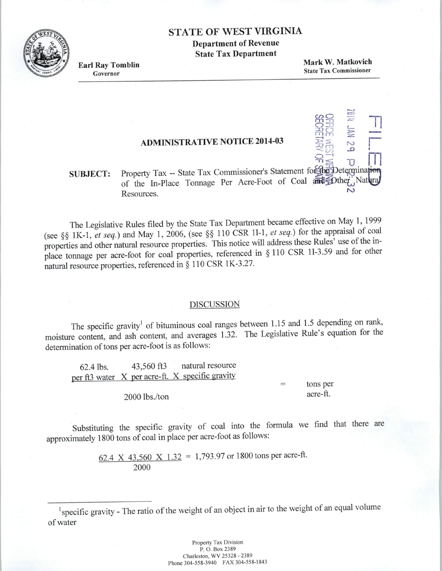### **STATE OF WEST VIRGINIA**

**Department of Revenue State Tax Department** 

**Earl Ray Tomblin** 

Governor

Mark W. Matkovich **State Tax Commissioner** 

> $\overline{\mathcal{C}}$  $\circ$  $\overline{\mathbf{D}}$

## **ADMINISTRATIVE NOTICE 2014-03**

#### Property Tax -- State Tax Commissioner's Statement for the Determination **SUBJECT:** of the In-Place Tonnage Per Acre-Foot of Coal and Dther Natural Resources.

The Legislative Rules filed by the State Tax Department became effective on May 1, 1999 (see §§ 1K-1, et seq.) and May 1, 2006, (see §§ 110 CSR 1I-1, et seq.) for the appraisal of coal properties and other natural resource properties. This notice will address these Rules' use of the inplace tonnage per acre-foot for coal properties, referenced in § 110 CSR 1I-3.59 and for other natural resource properties, referenced in § 110 CSR 1K-3.27.

#### **DISCUSSION**

The specific gravity<sup>1</sup> of bituminous coal ranges between 1.15 and 1.5 depending on rank, moisture content, and ash content, and averages 1.32. The Legislative Rule's equation for the determination of tons per acre-foot is as follows:

natural resource 43,560 ft3 62.4 lbs. per ft3 water X per acre-ft. X specific gravity

tons per acre-ft.

 $\equiv$ 

2000 lbs./ton

Substituting the specific gravity of coal into the formula we find that there are approximately 1800 tons of coal in place per acre-foot as follows:

> 62.4 X 43,560 X 1.32 = 1,793.97 or 1800 tons per acre-ft. 2000

<sup>1</sup>specific gravity - The ratio of the weight of an object in air to the weight of an equal volume of water